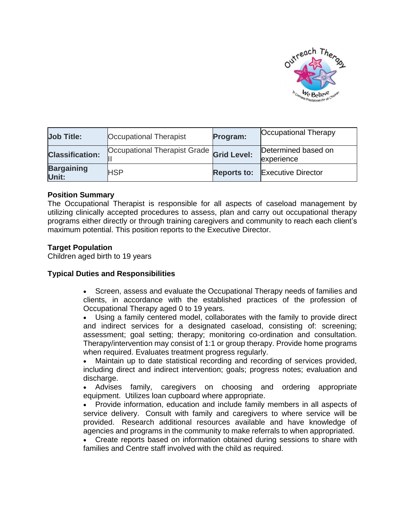

| <b>Job Title:</b>          | Occupational Therapist                   | Program: | <b>Occupational Therapy</b>           |
|----------------------------|------------------------------------------|----------|---------------------------------------|
| <b>Classification:</b>     | Occupational Therapist Grade Grid Level: |          | Determined based on<br>experience     |
| <b>Bargaining</b><br>Unit: | <b>HSP</b>                               |          | <b>Reports to: Executive Director</b> |

## **Position Summary**

The Occupational Therapist is responsible for all aspects of caseload management by utilizing clinically accepted procedures to assess, plan and carry out occupational therapy programs either directly or through training caregivers and community to reach each client's maximum potential. This position reports to the Executive Director.

## **Target Population**

Children aged birth to 19 years

## **Typical Duties and Responsibilities**

- Screen, assess and evaluate the Occupational Therapy needs of families and clients, in accordance with the established practices of the profession of Occupational Therapy aged 0 to 19 years.
- Using a family centered model, collaborates with the family to provide direct and indirect services for a designated caseload, consisting of: screening; assessment; goal setting; therapy; monitoring co-ordination and consultation. Therapy/intervention may consist of 1:1 or group therapy. Provide home programs when required. Evaluates treatment progress regularly.

• Maintain up to date statistical recording and recording of services provided, including direct and indirect intervention; goals; progress notes; evaluation and discharge.

• Advises family, caregivers on choosing and ordering appropriate equipment. Utilizes loan cupboard where appropriate.

• Provide information, education and include family members in all aspects of service delivery. Consult with family and caregivers to where service will be provided. Research additional resources available and have knowledge of agencies and programs in the community to make referrals to when appropriated.

• Create reports based on information obtained during sessions to share with families and Centre staff involved with the child as required.